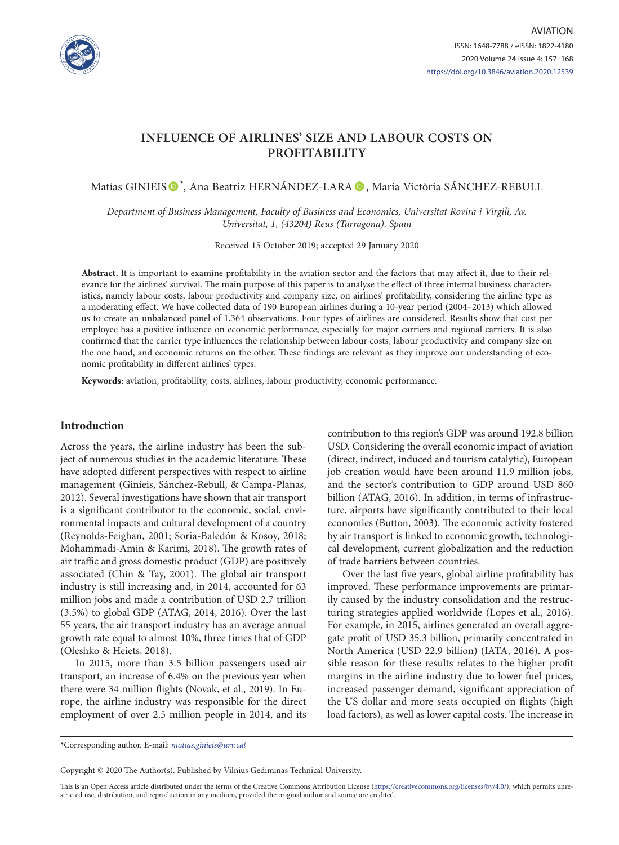

# **INFLUENCE OF AIRLINES' SIZE AND LABOUR COSTS ON PROFITABILITY**

Matías GINIEIS  $\mathbf{O}^*$ , Ana Beatriz HERNÁNDEZ-LARA  $\mathbf{O}$ , María Victòria SÁNCHEZ-REBULL

*Department of Business Management, Faculty of Business and Economics, Universitat Rovira i Virgili, Av. Universitat, 1, (43204) Reus (Tarragona), Spain*

Received 15 October 2019; accepted 29 January 2020

**Abstract.** It is important to examine profitability in the aviation sector and the factors that may affect it, due to their relevance for the airlines' survival. The main purpose of this paper is to analyse the effect of three internal business characteristics, namely labour costs, labour productivity and company size, on airlines' profitability, considering the airline type as a moderating effect. We have collected data of 190 European airlines during a 10-year period (2004–2013) which allowed us to create an unbalanced panel of 1,364 observations. Four types of airlines are considered. Results show that cost per employee has a positive influence on economic performance, especially for major carriers and regional carriers. It is also confirmed that the carrier type influences the relationship between labour costs, labour productivity and company size on the one hand, and economic returns on the other. These findings are relevant as they improve our understanding of economic profitability in different airlines' types.

**Keywords:** aviation, profitability, costs, airlines, labour productivity, economic performance.

## **Introduction**

Across the years, the airline industry has been the subject of numerous studies in the academic literature. These have adopted different perspectives with respect to airline management (Ginieis, Sánchez-Rebull, & Campa-Planas, 2012). Several investigations have shown that air transport is a significant contributor to the economic, social, environmental impacts and cultural development of a country (Reynolds-Feighan, 2001; Soria-Baledón & Kosoy, 2018; Mohammadi-Amin & Karimi, 2018). The growth rates of air traffic and gross domestic product (GDP) are positively associated (Chin & Tay, 2001). The global air transport industry is still increasing and, in 2014, accounted for 63 million jobs and made a contribution of USD 2.7 trillion (3.5%) to global GDP (ATAG, 2014, 2016). Over the last 55 years, the air transport industry has an average annual growth rate equal to almost 10%, three times that of GDP (Oleshko & Heiets, 2018).

In 2015, more than 3.5 billion passengers used air transport, an increase of 6.4% on the previous year when there were 34 million flights (Novak, et al., 2019). In Europe, the airline industry was responsible for the direct employment of over 2.5 million people in 2014, and its

contribution to this region's GDP was around 192.8 billion USD. Considering the overall economic impact of aviation (direct, indirect, induced and tourism catalytic), European job creation would have been around 11.9 million jobs, and the sector's contribution to GDP around USD 860 billion (ATAG, 2016). In addition, in terms of infrastructure, airports have significantly contributed to their local economies (Button, 2003). The economic activity fostered by air transport is linked to economic growth, technological development, current globalization and the reduction of trade barriers between countries.

Over the last five years, global airline profitability has improved. These performance improvements are primarily caused by the industry consolidation and the restructuring strategies applied worldwide (Lopes et al., 2016). For example, in 2015, airlines generated an overall aggregate profit of USD 35.3 billion, primarily concentrated in North America (USD 22.9 billion) (IATA, 2016). A possible reason for these results relates to the higher profit margins in the airline industry due to lower fuel prices, increased passenger demand, significant appreciation of the US dollar and more seats occupied on flights (high load factors), as well as lower capital costs. The increase in

\*Corresponding author. E-mail: *[matias.ginieis@urv.cat](mailto:matias.ginieis@urv.cat)*

Copyright © 2020 The Author(s). Published by Vilnius Gediminas Technical University.

This is an Open Access article distributed under the terms of the Creative Commons Attribution License [\(https://creativecommons.org/licenses/by/4.0/\)](http://creativecommons.org/licenses/by/4.0/), which permits unrestricted use, distribution, and reproduction in any medium, provided the original author and source are credited.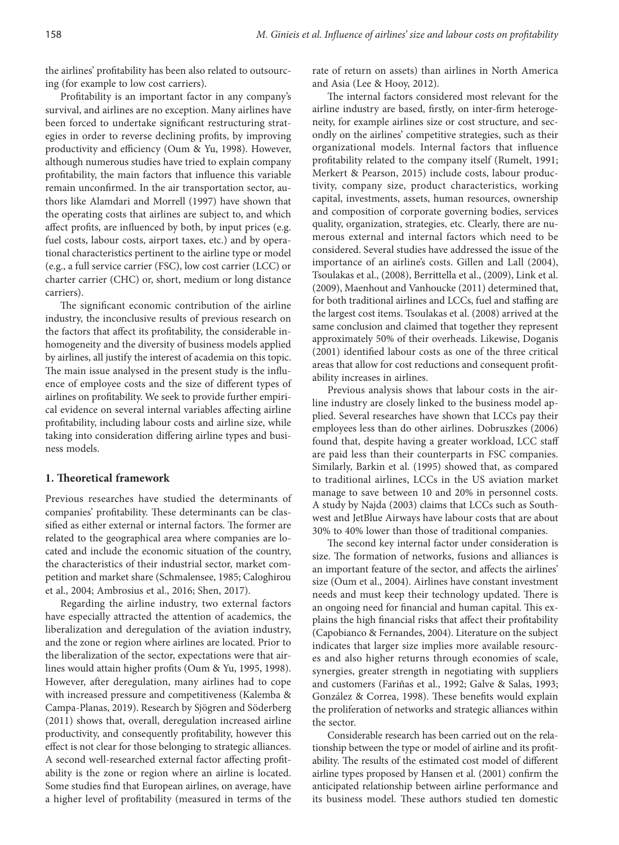the airlines' profitability has been also related to outsourcing (for example to low cost carriers).

Profitability is an important factor in any company's survival, and airlines are no exception. Many airlines have been forced to undertake significant restructuring strategies in order to reverse declining profits, by improving productivity and efficiency (Oum & Yu, 1998). However, although numerous studies have tried to explain company profitability, the main factors that influence this variable remain unconfirmed. In the air transportation sector, authors like Alamdari and Morrell (1997) have shown that the operating costs that airlines are subject to, and which affect profits, are influenced by both, by input prices (e.g. fuel costs, labour costs, airport taxes, etc.) and by operational characteristics pertinent to the airline type or model (e.g., a full service carrier (FSC), low cost carrier (LCC) or charter carrier (CHC) or, short, medium or long distance carriers).

The significant economic contribution of the airline industry, the inconclusive results of previous research on the factors that affect its profitability, the considerable inhomogeneity and the diversity of business models applied by airlines, all justify the interest of academia on this topic. The main issue analysed in the present study is the influence of employee costs and the size of different types of airlines on profitability. We seek to provide further empirical evidence on several internal variables affecting airline profitability, including labour costs and airline size, while taking into consideration differing airline types and business models.

# **1. Theoretical framework**

Previous researches have studied the determinants of companies' profitability. These determinants can be classified as either external or internal factors. The former are related to the geographical area where companies are located and include the economic situation of the country, the characteristics of their industrial sector, market competition and market share (Schmalensee, 1985; Caloghirou et al., 2004; Ambrosius et al., 2016; Shen, 2017).

Regarding the airline industry, two external factors have especially attracted the attention of academics, the liberalization and deregulation of the aviation industry, and the zone or region where airlines are located. Prior to the liberalization of the sector, expectations were that airlines would attain higher profits (Oum & Yu, 1995, 1998). However, after deregulation, many airlines had to cope with increased pressure and competitiveness (Kalemba & Campa-Planas, 2019). Research by Sjögren and Söderberg (2011) shows that, overall, deregulation increased airline productivity, and consequently profitability, however this effect is not clear for those belonging to strategic alliances. A second well-researched external factor affecting profitability is the zone or region where an airline is located. Some studies find that European airlines, on average, have a higher level of profitability (measured in terms of the

rate of return on assets) than airlines in North America and Asia (Lee & Hooy, 2012).

The internal factors considered most relevant for the airline industry are based, firstly, on inter-firm heterogeneity, for example airlines size or cost structure, and secondly on the airlines' competitive strategies, such as their organizational models. Internal factors that influence profitability related to the company itself (Rumelt, 1991; Merkert & Pearson, 2015) include costs, labour productivity, company size, product characteristics, working capital, investments, assets, human resources, ownership and composition of corporate governing bodies, services quality, organization, strategies, etc. Clearly, there are numerous external and internal factors which need to be considered. Several studies have addressed the issue of the importance of an airline's costs. Gillen and Lall (2004), Tsoulakas et al., (2008), Berrittella et al., (2009), Link et al. (2009), Maenhout and Vanhoucke (2011) determined that, for both traditional airlines and LCCs, fuel and staffing are the largest cost items. Tsoulakas et al. (2008) arrived at the same conclusion and claimed that together they represent approximately 50% of their overheads. Likewise, Doganis (2001) identified labour costs as one of the three critical areas that allow for cost reductions and consequent profitability increases in airlines.

Previous analysis shows that labour costs in the airline industry are closely linked to the business model applied. Several researches have shown that LCCs pay their employees less than do other airlines. Dobruszkes (2006) found that, despite having a greater workload, LCC staff are paid less than their counterparts in FSC companies. Similarly, Barkin et al. (1995) showed that, as compared to traditional airlines, LCCs in the US aviation market manage to save between 10 and 20% in personnel costs. A study by Najda (2003) claims that LCCs such as Southwest and JetBlue Airways have labour costs that are about 30% to 40% lower than those of traditional companies.

The second key internal factor under consideration is size. The formation of networks, fusions and alliances is an important feature of the sector, and affects the airlines' size (Oum et al., 2004). Airlines have constant investment needs and must keep their technology updated. There is an ongoing need for financial and human capital. This explains the high financial risks that affect their profitability (Capobianco & Fernandes, 2004). Literature on the subject indicates that larger size implies more available resources and also higher returns through economies of scale, synergies, greater strength in negotiating with suppliers and customers (Fariñas et al., 1992; Galve & Salas, 1993; González & Correa, 1998). These benefits would explain the proliferation of networks and strategic alliances within the sector.

Considerable research has been carried out on the relationship between the type or model of airline and its profitability. The results of the estimated cost model of different airline types proposed by Hansen et al. (2001) confirm the anticipated relationship between airline performance and its business model. These authors studied ten domestic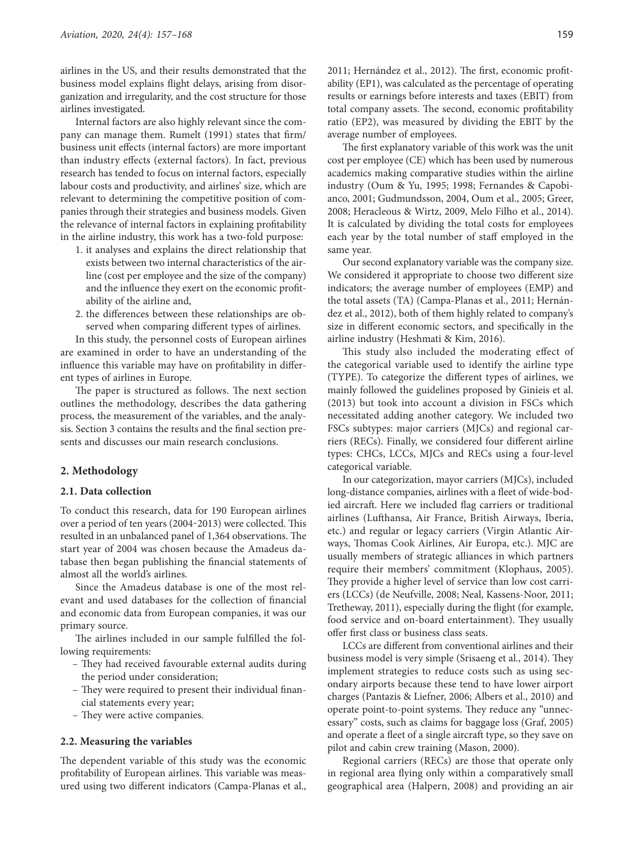airlines in the US, and their results demonstrated that the business model explains flight delays, arising from disorganization and irregularity, and the cost structure for those airlines investigated.

Internal factors are also highly relevant since the company can manage them. Rumelt (1991) states that firm/ business unit effects (internal factors) are more important than industry effects (external factors). In fact, previous research has tended to focus on internal factors, especially labour costs and productivity, and airlines' size, which are relevant to determining the competitive position of companies through their strategies and business models. Given the relevance of internal factors in explaining profitability in the airline industry, this work has a two-fold purpose:

- 1. it analyses and explains the direct relationship that exists between two internal characteristics of the airline (cost per employee and the size of the company) and the influence they exert on the economic profitability of the airline and,
- 2. the differences between these relationships are observed when comparing different types of airlines.

In this study, the personnel costs of European airlines are examined in order to have an understanding of the influence this variable may have on profitability in different types of airlines in Europe.

The paper is structured as follows. The next section outlines the methodology, describes the data gathering process, the measurement of the variables, and the analysis. Section 3 contains the results and the final section presents and discusses our main research conclusions.

## **2. Methodology**

#### **2.1. Data collection**

To conduct this research, data for 190 European airlines over a period of ten years (2004‒2013) were collected. This resulted in an unbalanced panel of 1,364 observations. The start year of 2004 was chosen because the Amadeus database then began publishing the financial statements of almost all the world's airlines.

Since the Amadeus database is one of the most relevant and used databases for the collection of financial and economic data from European companies, it was our primary source.

The airlines included in our sample fulfilled the following requirements:

- They had received favourable external audits during the period under consideration;
- They were required to present their individual financial statements every year;
- They were active companies.

#### **2.2. Measuring the variables**

The dependent variable of this study was the economic profitability of European airlines. This variable was measured using two different indicators (Campa-Planas et al., 2011; Hernández et al., 2012). The first, economic profitability (EP1), was calculated as the percentage of operating results or earnings before interests and taxes (EBIT) from total company assets. The second, economic profitability ratio (EP2), was measured by dividing the EBIT by the average number of employees.

The first explanatory variable of this work was the unit cost per employee (CE) which has been used by numerous academics making comparative studies within the airline industry (Oum & Yu, 1995; 1998; Fernandes & Capobianco, 2001; Gudmundsson, 2004, Oum et al., 2005; Greer, 2008; Heracleous & Wirtz, 2009, Melo Filho et al., 2014). It is calculated by dividing the total costs for employees each year by the total number of staff employed in the same year.

Our second explanatory variable was the company size. We considered it appropriate to choose two different size indicators; the average number of employees (EMP) and the total assets (TA) (Campa-Planas et al., 2011; Hernández et al., 2012), both of them highly related to company's size in different economic sectors, and specifically in the airline industry (Heshmati & Kim, 2016).

This study also included the moderating effect of the categorical variable used to identify the airline type (TYPE). To categorize the different types of airlines, we mainly followed the guidelines proposed by Ginieis et al. (2013) but took into account a division in FSCs which necessitated adding another category. We included two FSCs subtypes: major carriers (MJCs) and regional carriers (RECs). Finally, we considered four different airline types: CHCs, LCCs, MJCs and RECs using a four-level categorical variable.

In our categorization, mayor carriers (MJCs), included long-distance companies, airlines with a fleet of wide-bodied aircraft. Here we included flag carriers or traditional airlines (Lufthansa, Air France, British Airways, Iberia, etc.) and regular or legacy carriers (Virgin Atlantic Airways, Thomas Cook Airlines, Air Europa, etc.). MJC are usually members of strategic alliances in which partners require their members' commitment (Klophaus, 2005). They provide a higher level of service than low cost carriers (LCCs) (de Neufville, 2008; Neal, Kassens-Noor, 2011; Tretheway, 2011), especially during the flight (for example, food service and on-board entertainment). They usually offer first class or business class seats.

LCCs are different from conventional airlines and their business model is very simple (Srisaeng et al., 2014). They implement strategies to reduce costs such as using secondary airports because these tend to have lower airport charges (Pantazis & Liefner, 2006; Albers et al., 2010) and operate point-to-point systems. They reduce any "unnecessary" costs, such as claims for baggage loss (Graf, 2005) and operate a fleet of a single aircraft type, so they save on pilot and cabin crew training (Mason, 2000).

Regional carriers (RECs) are those that operate only in regional area flying only within a comparatively small geographical area (Halpern, 2008) and providing an air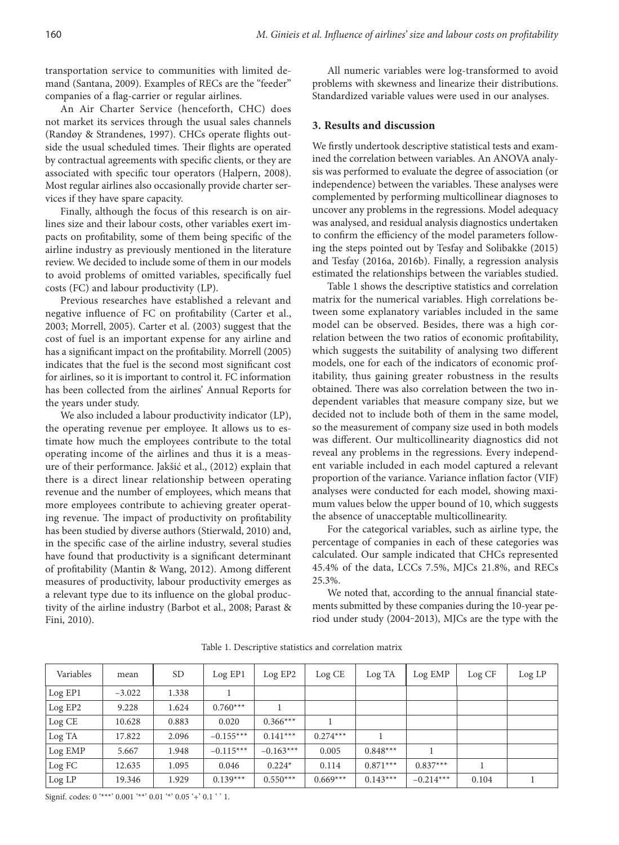transportation service to communities with limited demand (Santana, 2009). Examples of RECs are the "feeder" companies of a flag-carrier or regular airlines.

An Air Charter Service (henceforth, CHC) does not market its services through the usual sales channels (Randøy & Strandenes, 1997). CHCs operate flights outside the usual scheduled times. Their flights are operated by contractual agreements with specific clients, or they are associated with specific tour operators (Halpern, 2008). Most regular airlines also occasionally provide charter services if they have spare capacity.

Finally, although the focus of this research is on airlines size and their labour costs, other variables exert impacts on profitability, some of them being specific of the airline industry as previously mentioned in the literature review. We decided to include some of them in our models to avoid problems of omitted variables, specifically fuel costs (FC) and labour productivity (LP).

Previous researches have established a relevant and negative influence of FC on profitability (Carter et al., 2003; Morrell, 2005). Carter et al. (2003) suggest that the cost of fuel is an important expense for any airline and has a significant impact on the profitability. Morrell (2005) indicates that the fuel is the second most significant cost for airlines, so it is important to control it. FC information has been collected from the airlines' Annual Reports for the years under study.

We also included a labour productivity indicator (LP), the operating revenue per employee. It allows us to estimate how much the employees contribute to the total operating income of the airlines and thus it is a measure of their performance. Jakšić et al., (2012) explain that there is a direct linear relationship between operating revenue and the number of employees, which means that more employees contribute to achieving greater operating revenue. The impact of productivity on profitability has been studied by diverse authors (Stierwald, 2010) and, in the specific case of the airline industry, several studies have found that productivity is a significant determinant of profitability (Mantin & Wang, 2012). Among different measures of productivity, labour productivity emerges as a relevant type due to its influence on the global productivity of the airline industry (Barbot et al., 2008; Parast & Fini, 2010).

All numeric variables were log-transformed to avoid problems with skewness and linearize their distributions. Standardized variable values were used in our analyses.

# **3. Results and discussion**

We firstly undertook descriptive statistical tests and examined the correlation between variables. An ANOVA analysis was performed to evaluate the degree of association (or independence) between the variables. These analyses were complemented by performing multicollinear diagnoses to uncover any problems in the regressions. Model adequacy was analysed, and residual analysis diagnostics undertaken to confirm the efficiency of the model parameters following the steps pointed out by Tesfay and Solibakke (2015) and Tesfay (2016a, 2016b). Finally, a regression analysis estimated the relationships between the variables studied.

Table 1 shows the descriptive statistics and correlation matrix for the numerical variables. High correlations between some explanatory variables included in the same model can be observed. Besides, there was a high correlation between the two ratios of economic profitability, which suggests the suitability of analysing two different models, one for each of the indicators of economic profitability, thus gaining greater robustness in the results obtained. There was also correlation between the two independent variables that measure company size, but we decided not to include both of them in the same model, so the measurement of company size used in both models was different. Our multicollinearity diagnostics did not reveal any problems in the regressions. Every independent variable included in each model captured a relevant proportion of the variance. Variance inflation factor (VIF) analyses were conducted for each model, showing maximum values below the upper bound of 10, which suggests the absence of unacceptable multicollinearity.

For the categorical variables, such as airline type, the percentage of companies in each of these categories was calculated. Our sample indicated that CHCs represented 45.4% of the data, LCCs 7.5%, MJCs 21.8%, and RECs 25.3%.

We noted that, according to the annual financial statements submitted by these companies during the 10-year period under study (2004‒2013), MJCs are the type with the

| Variables | mean     | SD <sub>.</sub> | Log EP1     | Log EP2     | Log CE     | Log TA     | Log EMP     | Log CF | Log LP |
|-----------|----------|-----------------|-------------|-------------|------------|------------|-------------|--------|--------|
| Log EP1   | $-3.022$ | 1.338           |             |             |            |            |             |        |        |
| Log EP2   | 9.228    | 1.624           | $0.760***$  |             |            |            |             |        |        |
| Log CE    | 10.628   | 0.883           | 0.020       | $0.366***$  |            |            |             |        |        |
| Log TA    | 17.822   | 2.096           | $-0.155***$ | $0.141***$  | $0.274***$ |            |             |        |        |
| Log EMP   | 5.667    | 1.948           | $-0.115***$ | $-0.163***$ | 0.005      | $0.848***$ |             |        |        |
| Log FC    | 12.635   | 1.095           | 0.046       | $0.224*$    | 0.114      | $0.871***$ | $0.837***$  |        |        |
| Log LP    | 19.346   | 1.929           | $0.139***$  | $0.550***$  | $0.669***$ | $0.143***$ | $-0.214***$ | 0.104  |        |

Table 1. Descriptive statistics and correlation matrix

Signif. codes: 0 '\*\*\*' 0.001 '\*\*' 0.01 '\*' 0.05 '+' 0.1 ' ' 1.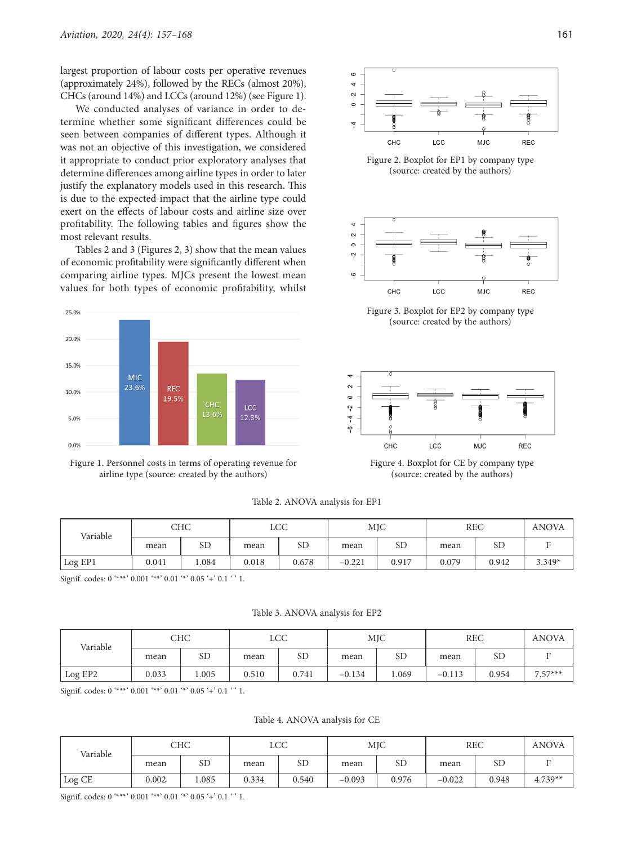largest proportion of labour costs per operative revenues (approximately 24%), followed by the RECs (almost 20%), CHCs (around 14%) and LCCs (around 12%) (see Figure 1).

We conducted analyses of variance in order to determine whether some significant differences could be seen between companies of different types. Although it was not an objective of this investigation, we considered it appropriate to conduct prior exploratory analyses that determine differences among airline types in order to later justify the explanatory models used in this research. This is due to the expected impact that the airline type could exert on the effects of labour costs and airline size over profitability. The following tables and figures show the most relevant results.

Tables 2 and 3 (Figures 2, 3) show that the mean values of economic profitability were significantly different when comparing airline types. MJCs present the lowest mean values for both types of economic profitability, whilst







Figure 2. Boxplot for EP1 by company type (source: created by the authors)



Figure 3. Boxplot for EP2 by company type (source: created by the authors)



Figure 4. Boxplot for CE by company type (source: created by the authors)

Table 2. ANOVA analysis for EP1

| Variable | CHC   |           | <b>LCC</b> |       | <b>MJC</b> |       | <b>REC</b> |           | <b>ANOVA</b> |
|----------|-------|-----------|------------|-------|------------|-------|------------|-----------|--------------|
|          | mean  | <b>SD</b> | mean       | SD    | mean       | SD    | mean       | <b>SD</b> |              |
| Log EP1  | 0.041 | 0.084     | 0.018      | 0.678 | $-0.221$   | 0.917 | 0.079      | 0.942     | $3.349*$     |

Signif. codes: 0 '\*\*\*' 0.001 '\*\*' 0.01 '\*' 0.05 '+' 0.1 ' ' 1.

Table 3. ANOVA analysis for EP2

| Variable | CHC   |           | LCC   |           | MJC      |           | <b>REC</b> |       | <b>ANOVA</b> |
|----------|-------|-----------|-------|-----------|----------|-----------|------------|-------|--------------|
|          | mean  | <b>SD</b> | mean  | <b>SD</b> | mean     | <b>SD</b> | mean       | SГ    |              |
| Log EP2  | 0.033 | .005      | 0.510 | 0.741     | $-0.134$ | 1.069     | $-0.113$   | 0.954 | $7.57***$    |

Signif. codes: 0 '\*\*\*' 0.001 '\*\*' 0.01 '\*' 0.05 '+' 0.1 ' ' 1.

Table 4. ANOVA analysis for CE

| Variable | CHC   |           | <b>LCC</b> |           | <b>MJC</b> |           | <b>REC</b> |       | <b>ANOVA</b> |
|----------|-------|-----------|------------|-----------|------------|-----------|------------|-------|--------------|
|          | mean  | <b>SD</b> | mean       | <b>SD</b> | mean       | <b>SD</b> | mean       | SD    |              |
| Log CE   | 0.002 | 1.085     | 0.334      | 0.540     | $-0.093$   | 0.976     | $-0.022$   | 0.948 | $4.739**$    |

Signif. codes: 0 '\*\*\*' 0.001 '\*\*' 0.01 '\*' 0.05 '+' 0.1 ' ' 1.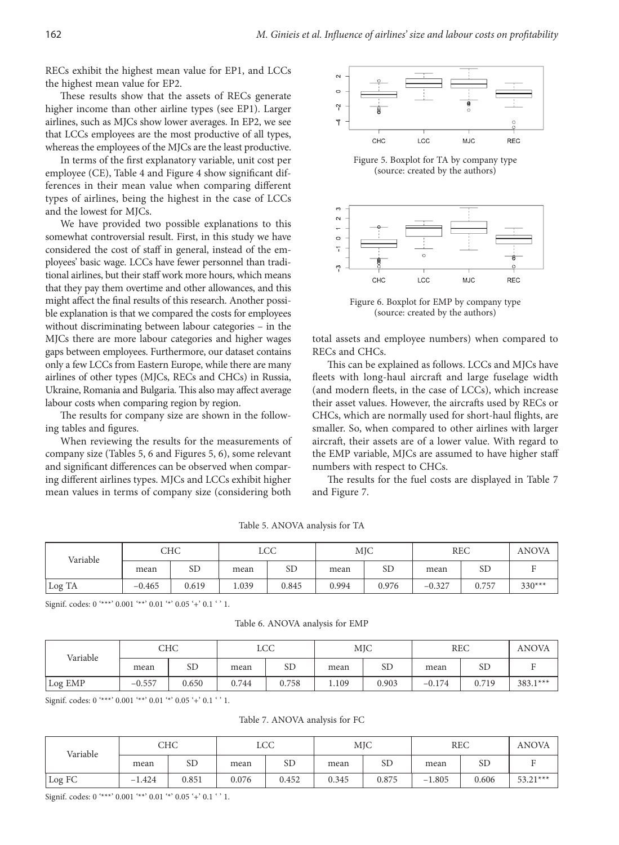RECs exhibit the highest mean value for EP1, and LCCs the highest mean value for EP2.

These results show that the assets of RECs generate higher income than other airline types (see EP1). Larger airlines, such as MJCs show lower averages. In EP2, we see that LCCs employees are the most productive of all types, whereas the employees of the MJCs are the least productive.

In terms of the first explanatory variable, unit cost per employee (CE), Table 4 and Figure 4 show significant differences in their mean value when comparing different types of airlines, being the highest in the case of LCCs and the lowest for MJCs.

We have provided two possible explanations to this somewhat controversial result. First, in this study we have considered the cost of staff in general, instead of the employees' basic wage. LCCs have fewer personnel than traditional airlines, but their staff work more hours, which means that they pay them overtime and other allowances, and this might affect the final results of this research. Another possible explanation is that we compared the costs for employees without discriminating between labour categories – in the MJCs there are more labour categories and higher wages gaps between employees. Furthermore, our dataset contains only a few LCCs from Eastern Europe, while there are many airlines of other types (MJCs, RECs and CHCs) in Russia, Ukraine, Romania and Bulgaria. This also may affect average labour costs when comparing region by region.

The results for company size are shown in the following tables and figures.

When reviewing the results for the measurements of company size (Tables 5, 6 and Figures 5, 6), some relevant and significant differences can be observed when comparing different airlines types. MJCs and LCCs exhibit higher mean values in terms of company size (considering both



Figure 5. Boxplot for TA by company type (source: created by the authors)



Figure 6. Boxplot for EMP by company type (source: created by the authors)

total assets and employee numbers) when compared to RECs and CHCs.

This can be explained as follows. LCCs and MJCs have fleets with long-haul aircraft and large fuselage width (and modern fleets, in the case of LCCs), which increase their asset values. However, the aircrafts used by RECs or CHCs, which are normally used for short-haul flights, are smaller. So, when compared to other airlines with larger aircraft, their assets are of a lower value. With regard to the EMP variable, MJCs are assumed to have higher staff numbers with respect to CHCs.

The results for the fuel costs are displayed in Table 7 and Figure 7.

Table 5. ANOVA analysis for TA

| Variable | CHC      |           | <b>LCC</b> |       | <b>MJC</b> |       | <b>REC</b> |           | <b>ANOVA</b> |
|----------|----------|-----------|------------|-------|------------|-------|------------|-----------|--------------|
|          | mean     | <b>SD</b> | mean       | SD    | mean       | SD    | mean       | <b>SD</b> |              |
| Log TA   | $-0.465$ | 0.619     | 1.039      | 0.845 | 0.994      | 0.976 | $-0.327$   | 0.757     | $330***$     |

Signif. codes: 0 '\*\*\*' 0.001 '\*\*' 0.01 '\*' 0.05 '+' 0.1 ' ' 1.

Table 6. ANOVA analysis for EMP

| Variable | CHC      |           | LCC   |       | <b>MJC</b> |           | <b>REC</b> |       | <b>ANOVA</b> |
|----------|----------|-----------|-------|-------|------------|-----------|------------|-------|--------------|
|          | mean     | <b>SD</b> | mean  | SD    | mean       | <b>SD</b> | mean       | SD    |              |
| Log EMP  | $-0.557$ | 0.650     | 0.744 | 0.758 | 109        | 0.903     | $-0.174$   | 0.719 | $383.1***$   |

Signif. codes: 0 '\*\*\*' 0.001 '\*\*' 0.01 '\*' 0.05 '+' 0.1 ' ' 1.

Table 7. ANOVA analysis for FC

| Variable | CHC      |           | LCC   |           | <b>MJC</b> |           | <b>REC</b> |       | <b>ANOVA</b> |
|----------|----------|-----------|-------|-----------|------------|-----------|------------|-------|--------------|
|          | mean     | <b>SD</b> | mean  | <b>SD</b> | mean       | <b>SD</b> | mean       | SD    |              |
| Log FC   | $-1.424$ | 0.851     | 0.076 | 0.452     | 0.345      | 0.875     | .805<br>-  | 0.606 | $53.21***$   |

Signif. codes: 0 '\*\*\*' 0.001 '\*\*' 0.01 '\*' 0.05 '+' 0.1 ' ' 1.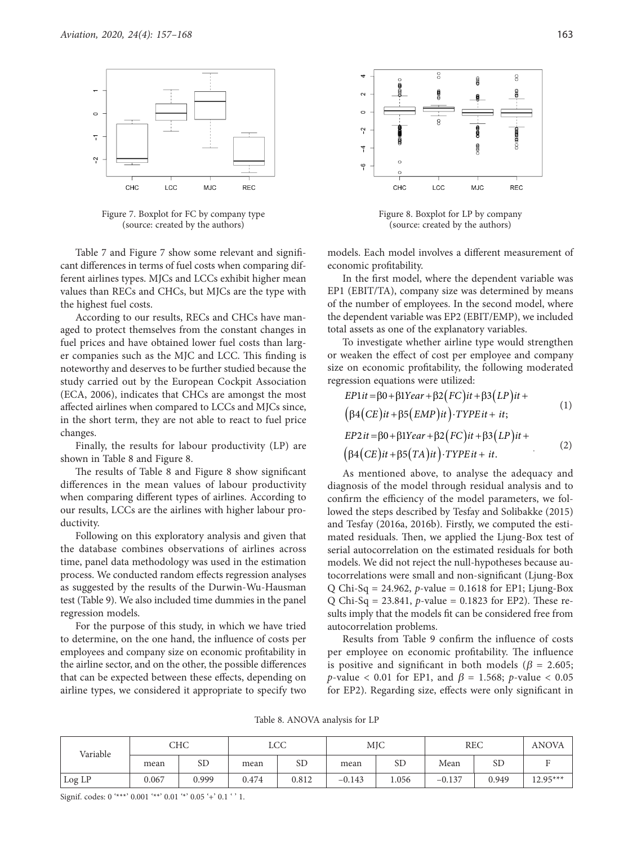

Figure 7. Boxplot for FC by company type (source: created by the authors)

Table 7 and Figure 7 show some relevant and significant differences in terms of fuel costs when comparing different airlines types. MJCs and LCCs exhibit higher mean values than RECs and CHCs, but MJCs are the type with the highest fuel costs.

According to our results, RECs and CHCs have managed to protect themselves from the constant changes in fuel prices and have obtained lower fuel costs than larger companies such as the MJC and LCC. This finding is noteworthy and deserves to be further studied because the study carried out by the European Cockpit Association (ECA, 2006), indicates that CHCs are amongst the most affected airlines when compared to LCCs and MJCs since, in the short term, they are not able to react to fuel price changes.

Finally, the results for labour productivity (LP) are shown in Table 8 and Figure 8.

The results of Table 8 and Figure 8 show significant differences in the mean values of labour productivity when comparing different types of airlines. According to our results, LCCs are the airlines with higher labour productivity.

Following on this exploratory analysis and given that the database combines observations of airlines across time, panel data methodology was used in the estimation process. We conducted random effects regression analyses as suggested by the results of the Durwin-Wu-Hausman test (Table 9). We also included time dummies in the panel regression models.

For the purpose of this study, in which we have tried to determine, on the one hand, the influence of costs per employees and company size on economic profitability in the airline sector, and on the other, the possible differences that can be expected between these effects, depending on airline types, we considered it appropriate to specify two



Figure 8. Boxplot for LP by company (source: created by the authors)

models. Each model involves a different measurement of economic profitability.

In the first model, where the dependent variable was EP1 (EBIT/TA), company size was determined by means of the number of employees. In the second model, where the dependent variable was EP2 (EBIT/EMP), we included total assets as one of the explanatory variables.

To investigate whether airline type would strengthen or weaken the effect of cost per employee and company size on economic profitability, the following moderated regression equations were utilized:

$$
EP1it = \beta 0 + \beta 1Year + \beta 2 (FC)it + \beta 3 (LP)it +
$$
  
\n
$$
(\beta 4 (CE)it + \beta 5 (EMP)it) \cdot TYPEit + it;
$$
  
\n
$$
EP2it = \beta 0 + \beta 1Year + \beta 2 (FC)it + \beta 3 (LP)it +
$$
  
\n
$$
(\beta 4 (CE)it + \beta 5 (TA)it) \cdot TYPEit + it.
$$
 (2)

As mentioned above, to analyse the adequacy and diagnosis of the model through residual analysis and to confirm the efficiency of the model parameters, we followed the steps described by Tesfay and Solibakke (2015) and Tesfay (2016a, 2016b). Firstly, we computed the estimated residuals. Then, we applied the Ljung-Box test of serial autocorrelation on the estimated residuals for both models. We did not reject the null-hypotheses because autocorrelations were small and non-significant (Ljung-Box Q Chi-Sq = 24.962, *p*-value = 0.1618 for EP1; Ljung-Box Q Chi-Sq = 23.841, *p*-value = 0.1823 for EP2). These results imply that the models fit can be considered free from autocorrelation problems.

Results from Table 9 confirm the influence of costs per employee on economic profitability. The influence is positive and significant in both models ( $\beta$  = 2.605; *p*-value < 0.01 for EP1, and  $\beta$  = 1.568; *p*-value < 0.05 for EP2). Regarding size, effects were only significant in

Table 8. ANOVA analysis for LP

| Variable | CHC   |       | LCC   |           | <b>MJC</b> |       | <b>REC</b> |           | <b>ANOVA</b> |
|----------|-------|-------|-------|-----------|------------|-------|------------|-----------|--------------|
|          | mean  | SD    | mean  | <b>SD</b> | mean       | SD    | Mean       | <b>SD</b> |              |
| Log LP   | 0.067 | 0.999 | 0.474 | 0.812     | $-0.143$   | 1.056 | $-0.137$   | 0.949     | $12.95***$   |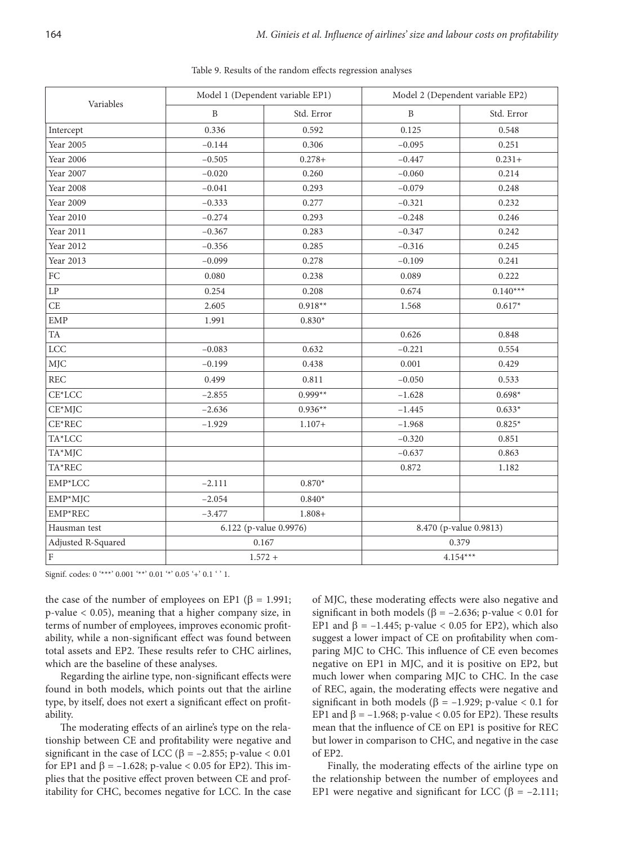| Variables           |              | Model 1 (Dependent variable EP1) |              | Model 2 (Dependent variable EP2) |  |
|---------------------|--------------|----------------------------------|--------------|----------------------------------|--|
|                     | $\, {\bf B}$ | Std. Error                       | $\, {\bf B}$ | Std. Error                       |  |
| Intercept           | 0.336        | 0.592                            | 0.125        | 0.548                            |  |
| Year 2005           | $-0.144$     | 0.306                            | $-0.095$     | 0.251                            |  |
| Year 2006           | $-0.505$     | $0.278 +$                        | $-0.447$     | $0.231+$                         |  |
| Year 2007           | $-0.020$     | 0.260                            | $-0.060$     | 0.214                            |  |
| Year 2008           | $-0.041$     | 0.293                            | $-0.079$     | 0.248                            |  |
| Year 2009           | $-0.333$     | 0.277                            | $-0.321$     | 0.232                            |  |
| Year 2010           | $-0.274$     | 0.293                            | $-0.248$     | 0.246                            |  |
| Year 2011           | $-0.367$     | 0.283                            | $-0.347$     | 0.242                            |  |
| Year 2012           | $-0.356$     | 0.285                            | $-0.316$     | 0.245                            |  |
| Year 2013           | $-0.099$     | 0.278                            | $-0.109$     | 0.241                            |  |
| ${\rm FC}$          | 0.080        | 0.238                            | 0.089        | 0.222                            |  |
| $\operatorname{LP}$ | 0.254        | 0.208                            | 0.674        | $0.140***$                       |  |
| CE                  | 2.605        | $0.918**$                        | 1.568        | $0.617*$                         |  |
| <b>EMP</b>          | 1.991        | $0.830*$                         |              |                                  |  |
| ${\rm TA}$          |              |                                  | 0.626        | 0.848                            |  |
| <b>LCC</b>          | $-0.083$     | 0.632                            | $-0.221$     | 0.554                            |  |
| <b>MJC</b>          | $-0.199$     | 0.438                            | 0.001        | 0.429                            |  |
| <b>REC</b>          | 0.499        | 0.811                            | $-0.050$     | 0.533                            |  |
| CE*LCC              | $-2.855$     | $0.999**$                        | $-1.628$     | $0.698*$                         |  |
| $CE*MJC$            | $-2.636$     | $0.936**$                        | $-1.445$     | $0.633*$                         |  |
| $CE*REC$            | $-1.929$     | $1.107+$                         | $-1.968$     | $0.825*$                         |  |
| TA*LCC              |              |                                  | $-0.320$     | 0.851                            |  |
| TA*MJC              |              |                                  | $-0.637$     | 0.863                            |  |
| TA*REC              |              |                                  | 0.872        | 1.182                            |  |
| EMP*LCC             | $-2.111$     | $0.870*$                         |              |                                  |  |
| EMP*MJC             | $-2.054$     | $0.840*$                         |              |                                  |  |
| EMP*REC             | $-3.477$     | $1.808 +$                        |              |                                  |  |
| Hausman test        |              | 6.122 (p-value 0.9976)           |              | 8.470 (p-value 0.9813)           |  |
| Adjusted R-Squared  |              | 0.167                            |              | 0.379                            |  |
| $\vert$ F           | $1.572 +$    |                                  | $4.154***$   |                                  |  |

Table 9. Results of the random effects regression analyses

Signif. codes: 0 '\*\*\*' 0.001 '\*\*' 0.01 '\*' 0.05 '+' 0.1 ' ' 1.

the case of the number of employees on EP1 (β = 1.991; p-value < 0.05), meaning that a higher company size, in terms of number of employees, improves economic profitability, while a non-significant effect was found between total assets and EP2. These results refer to CHC airlines, which are the baseline of these analyses.

Regarding the airline type, non-significant effects were found in both models, which points out that the airline type, by itself, does not exert a significant effect on profitability.

The moderating effects of an airline's type on the relationship between CE and profitability were negative and significant in the case of LCC ( $\beta$  = -2.855; p-value < 0.01 for EP1 and  $\beta$  = -1.628; p-value < 0.05 for EP2). This implies that the positive effect proven between CE and profitability for CHC, becomes negative for LCC. In the case of MJC, these moderating effects were also negative and significant in both models ( $\beta$  = -2.636; p-value < 0.01 for EP1 and  $\beta$  = -1.445; p-value < 0.05 for EP2), which also suggest a lower impact of CE on profitability when comparing MJC to CHC. This influence of CE even becomes negative on EP1 in MJC, and it is positive on EP2, but much lower when comparing MJC to CHC. In the case of REC, again, the moderating effects were negative and significant in both models ( $\beta$  = -1.929; p-value < 0.1 for EP1 and  $\beta$  = -1.968; p-value < 0.05 for EP2). These results mean that the influence of CE on EP1 is positive for REC but lower in comparison to CHC, and negative in the case of EP2.

Finally, the moderating effects of the airline type on the relationship between the number of employees and EP1 were negative and significant for LCC ( $\beta$  = -2.111;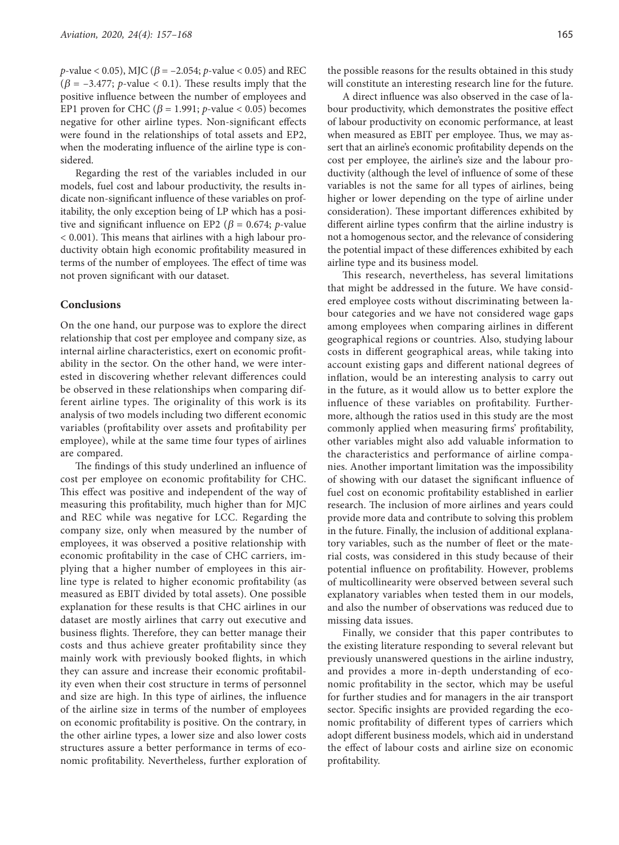*p*-value < 0.05), MJC ( $\beta$  = -2.054; *p*-value < 0.05) and REC  $(\beta = -3.477; p-value < 0.1)$ . These results imply that the positive influence between the number of employees and EP1 proven for CHC ( $\beta$  = 1.991; *p*-value < 0.05) becomes negative for other airline types. Non-significant effects were found in the relationships of total assets and EP2, when the moderating influence of the airline type is considered.

Regarding the rest of the variables included in our models, fuel cost and labour productivity, the results indicate non-significant influence of these variables on profitability, the only exception being of LP which has a positive and significant influence on EP2 ( $\beta$  = 0.674; *p*-value < 0.001). This means that airlines with a high labour productivity obtain high economic profitability measured in terms of the number of employees. The effect of time was not proven significant with our dataset.

## **Conclusions**

On the one hand, our purpose was to explore the direct relationship that cost per employee and company size, as internal airline characteristics, exert on economic profitability in the sector. On the other hand, we were interested in discovering whether relevant differences could be observed in these relationships when comparing different airline types. The originality of this work is its analysis of two models including two different economic variables (profitability over assets and profitability per employee), while at the same time four types of airlines are compared.

The findings of this study underlined an influence of cost per employee on economic profitability for CHC. This effect was positive and independent of the way of measuring this profitability, much higher than for MJC and REC while was negative for LCC. Regarding the company size, only when measured by the number of employees, it was observed a positive relationship with economic profitability in the case of CHC carriers, implying that a higher number of employees in this airline type is related to higher economic profitability (as measured as EBIT divided by total assets). One possible explanation for these results is that CHC airlines in our dataset are mostly airlines that carry out executive and business flights. Therefore, they can better manage their costs and thus achieve greater profitability since they mainly work with previously booked flights, in which they can assure and increase their economic profitability even when their cost structure in terms of personnel and size are high. In this type of airlines, the influence of the airline size in terms of the number of employees on economic profitability is positive. On the contrary, in the other airline types, a lower size and also lower costs structures assure a better performance in terms of economic profitability. Nevertheless, further exploration of

the possible reasons for the results obtained in this study will constitute an interesting research line for the future.

A direct influence was also observed in the case of labour productivity, which demonstrates the positive effect of labour productivity on economic performance, at least when measured as EBIT per employee. Thus, we may assert that an airline's economic profitability depends on the cost per employee, the airline's size and the labour productivity (although the level of influence of some of these variables is not the same for all types of airlines, being higher or lower depending on the type of airline under consideration). These important differences exhibited by different airline types confirm that the airline industry is not a homogenous sector, and the relevance of considering the potential impact of these differences exhibited by each airline type and its business model.

This research, nevertheless, has several limitations that might be addressed in the future. We have considered employee costs without discriminating between labour categories and we have not considered wage gaps among employees when comparing airlines in different geographical regions or countries. Also, studying labour costs in different geographical areas, while taking into account existing gaps and different national degrees of inflation, would be an interesting analysis to carry out in the future, as it would allow us to better explore the influence of these variables on profitability. Furthermore, although the ratios used in this study are the most commonly applied when measuring firms' profitability, other variables might also add valuable information to the characteristics and performance of airline companies. Another important limitation was the impossibility of showing with our dataset the significant influence of fuel cost on economic profitability established in earlier research. The inclusion of more airlines and years could provide more data and contribute to solving this problem in the future. Finally, the inclusion of additional explanatory variables, such as the number of fleet or the material costs, was considered in this study because of their potential influence on profitability. However, problems of multicollinearity were observed between several such explanatory variables when tested them in our models, and also the number of observations was reduced due to missing data issues.

Finally, we consider that this paper contributes to the existing literature responding to several relevant but previously unanswered questions in the airline industry, and provides a more in-depth understanding of economic profitability in the sector, which may be useful for further studies and for managers in the air transport sector. Specific insights are provided regarding the economic profitability of different types of carriers which adopt different business models, which aid in understand the effect of labour costs and airline size on economic profitability.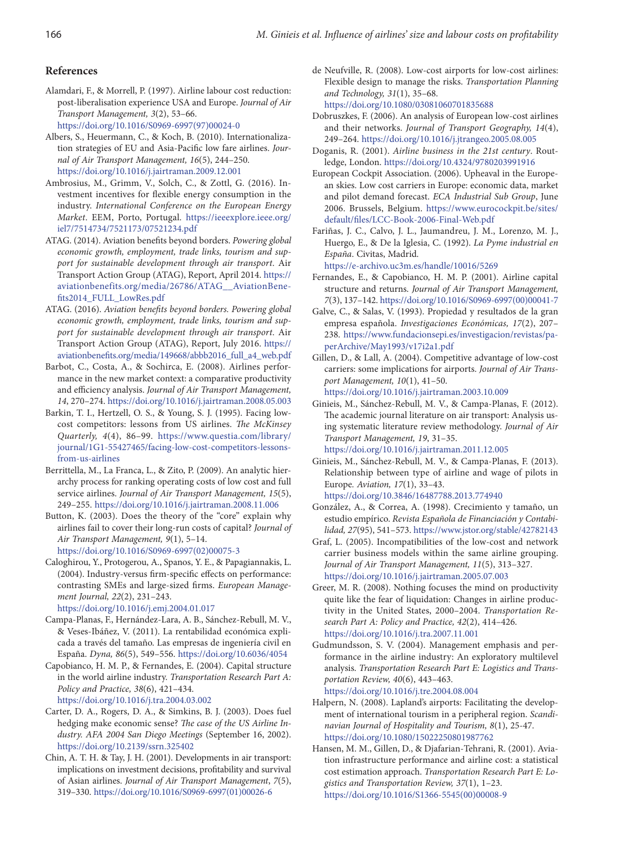#### **References**

Alamdari, F., & Morrell, P. (1997). Airline labour cost reduction: post-liberalisation experience USA and Europe. *Journal of Air Transport Management, 3*(2), 53–66.

[https://doi.org/10.1016/S0969-6997\(97\)00024-0](https://doi.org/10.1016/S0969-6997(97)00024-0)

- Albers, S., Heuermann, C., & Koch, B. (2010). Internationalization strategies of EU and Asia-Pacific low fare airlines. *Journal of Air Transport Management, 16*(5), 244–250. <https://doi.org/10.1016/j.jairtraman.2009.12.001>
- Ambrosius, M., Grimm, V., Solch, C., & Zottl, G. (2016). Investment incentives for flexible energy consumption in the industry. *International Conference on the European Energy Market*. EEM, Porto, Portugal. [https://ieeexplore.ieee.org/](https://ieeexplore.ieee.org/iel7/7514734/7521173/07521234.pdf) [iel7/7514734/7521173/07521234.pdf](https://ieeexplore.ieee.org/iel7/7514734/7521173/07521234.pdf)
- ATAG. (2014). Aviation benefits beyond borders. *Powering global economic growth, employment, trade links, tourism and support for sustainable development through air transport*. Air Transport Action Group (ATAG), Report, April 2014. [https://](https://aviationbenefits.org/media/26786/ATAG__AviationBenefits2014_FULL_LowRes.pdf) [aviationbenefits.org/media/26786/ATAG\\_\\_AviationBene](https://aviationbenefits.org/media/26786/ATAG__AviationBenefits2014_FULL_LowRes.pdf)[fits2014\\_FULL\\_LowRes.pdf](https://aviationbenefits.org/media/26786/ATAG__AviationBenefits2014_FULL_LowRes.pdf)
- ATAG. (2016). *Aviation benefits beyond borders. Powering global economic growth, employment, trade links, tourism and support for sustainable development through air transport*. Air Transport Action Group (ATAG), Report, July 2016. [https://](https://aviationbenefits.org/media/149668/abbb2016_full_a4_web.pdf) [aviationbenefits.org/media/149668/abbb2016\\_full\\_a4\\_web.pdf](https://aviationbenefits.org/media/149668/abbb2016_full_a4_web.pdf)
- Barbot, C., Costa, A., & Sochirca, E. (2008). Airlines performance in the new market context: a comparative productivity and efficiency analysis. *Journal of Air Transport Management, 14*, 270–274.<https://doi.org/10.1016/j.jairtraman.2008.05.003>
- Barkin, T. I., Hertzell, O. S., & Young, S. J. (1995). Facing lowcost competitors: lessons from US airlines. *The McKinsey Quarterly, 4*(4), 86–99. [https://www.questia.com/library/](https://www.questia.com/library/journal/1G1-55427465/facing-low-cost-competitors-lessons-from-us-airlines) [journal/1G1-55427465/facing-low-cost-competitors-lessons](https://www.questia.com/library/journal/1G1-55427465/facing-low-cost-competitors-lessons-from-us-airlines)[from-us-airlines](https://www.questia.com/library/journal/1G1-55427465/facing-low-cost-competitors-lessons-from-us-airlines)
- Berrittella, M., La Franca, L., & Zito, P. (2009). An analytic hierarchy process for ranking operating costs of low cost and full service airlines. *Journal of Air Transport Management, 15*(5), 249–255. <https://doi.org/10.1016/j.jairtraman.2008.11.006>
- Button, K. (2003). Does the theory of the "core" explain why airlines fail to cover their long-run costs of capital? *Journal of Air Transport Management, 9*(1), 5–14. [https://doi.org/10.1016/S0969-6997\(02\)00075-3](https://doi.org/10.1016/S0969-6997(02)00075-3)
- Caloghirou, Y., Protogerou, A., Spanos, Y. E., & Papagiannakis, L. (2004). Industry-versus firm-specific effects on performance: contrasting SMEs and large-sized firms. *European Management Journal, 22*(2), 231–243.
- <https://doi.org/10.1016/j.emj.2004.01.017>
- Campa-Planas, F., Hernández-Lara, A. B., Sánchez-Rebull, M. V., & Veses-Ibáñez, V. (2011). La rentabilidad económica explicada a través del tamaño. Las empresas de ingeniería civil en España. *Dyna, 86*(5), 549–556. <https://doi.org/10.6036/4054>
- Capobianco, H. M. P., & Fernandes, E. (2004). Capital structure in the world airline industry. *Transportation Research Part A: Policy and Practice, 38*(6), 421–434. <https://doi.org/10.1016/j.tra.2004.03.002>
- Carter, D. A., Rogers, D. A., & Simkins, B. J. (2003). Does fuel hedging make economic sense? *The case of the US Airline Industry. AFA 2004 San Diego Meetings* (September 16, 2002). <https://doi.org/10.2139/ssrn.325402>
- Chin, A. T. H. & Tay, J. H. (2001). Developments in air transport: implications on investment decisions, profitability and survival of Asian airlines. *Journal of Air Transport Management*, *7*(5), 319–330. [https://doi.org/10.1016/S0969-6997\(01\)00026-6](https://doi.org/10.1016/S0969-6997(01)00026-6)
- de Neufville, R. (2008). Low-cost airports for low-cost airlines: Flexible design to manage the risks. *Transportation Planning and Technology, 31*(1), 35–68. <https://doi.org/10.1080/03081060701835688>
- Dobruszkes, F. (2006). An analysis of European low-cost airlines and their networks. *Journal of Transport Geography, 14*(4), 249–264. <https://doi.org/10.1016/j.jtrangeo.2005.08.005>
- Doganis, R. (2001). *Airline business in the 21st century*. Routledge, London. <https://doi.org/10.4324/9780203991916>
- European Cockpit Association. (2006). Upheaval in the European skies. Low cost carriers in Europe: economic data, market and pilot demand forecast. *ECA Industrial Sub Group*, June 2006. Brussels, Belgium. [https://www.eurocockpit.be/sites/](https://www.eurocockpit.be/sites/default/files/LCC-Book-2006-Final-Web.pdf) [default/files/LCC-Book-2006-Final-Web.pdf](https://www.eurocockpit.be/sites/default/files/LCC-Book-2006-Final-Web.pdf)
- Fariñas, J. C., Calvo, J. L., Jaumandreu, J. M., Lorenzo, M. J., Huergo, E., & De la Iglesia, C. (1992). *La Pyme industrial en España*. Civitas, Madrid.

<https://e-archivo.uc3m.es/handle/10016/5269>

- Fernandes, E., & Capobianco, H. M. P. (2001). Airline capital structure and returns. *Journal of Air Transport Management, 7*(3), 137–142. [https://doi.org/10.1016/S0969-6997\(00\)00041-7](https://doi.org/10.1016/S0969-6997(00)00041-7)
- Galve, C., & Salas, V. (1993). Propiedad y resultados de la gran empresa española. *Investigaciones Económicas, 17*(2), 207– 238. [https://www.fundacionsepi.es/investigacion/revistas/pa](https://www.fundacionsepi.es/investigacion/revistas/paperArchive/May1993/v17i2a1.pdf)[perArchive/May1993/v17i2a1.pdf](https://www.fundacionsepi.es/investigacion/revistas/paperArchive/May1993/v17i2a1.pdf)
- Gillen, D., & Lall, A. (2004). Competitive advantage of low-cost carriers: some implications for airports. *Journal of Air Transport Management, 10*(1), 41–50. <https://doi.org/10.1016/j.jairtraman.2003.10.009>
- Ginieis, M., Sánchez-Rebull, M. V., & Campa-Planas, F. (2012). The academic journal literature on air transport: Analysis using systematic literature review methodology. *Journal of Air Transport Management, 19*, 31–35. <https://doi.org/10.1016/j.jairtraman.2011.12.005>
- Ginieis, M., Sánchez-Rebull, M. V., & Campa-Planas, F. (2013). Relationship between type of airline and wage of pilots in Europe*. Aviation, 17*(1), 33–43. <https://doi.org/10.3846/16487788.2013.774940>
- González, A., & Correa, A. (1998). Crecimiento y tamaño, un estudio empírico. *Revista Española de Financiación y Contabilidad, 27*(95), 541–573. <https://www.jstor.org/stable/42782143>
- Graf, L. (2005). Incompatibilities of the low-cost and network carrier business models within the same airline grouping. *Journal of Air Transport Management, 11*(5), 313–327. <https://doi.org/10.1016/j.jairtraman.2005.07.003>
- Greer, M. R. (2008). Nothing focuses the mind on productivity quite like the fear of liquidation: Changes in airline productivity in the United States, 2000–2004. *Transportation Research Part A: Policy and Practice, 42*(2), 414–426. <https://doi.org/10.1016/j.tra.2007.11.001>
- Gudmundsson, S. V. (2004). Management emphasis and performance in the airline industry: An exploratory multilevel analysis. *Transportation Research Part E: Logistics and Transportation Review, 40*(6), 443–463. <https://doi.org/10.1016/j.tre.2004.08.004>
- Halpern, N. (2008). Lapland's airports: Facilitating the development of international tourism in a peripheral region. *Scandinavian Journal of Hospitality and Tourism, 8*(1), 25-47. <https://doi.org/10.1080/15022250801987762>
- Hansen, M. M., Gillen, D., & Djafarian-Tehrani, R. (2001). Aviation infrastructure performance and airline cost: a statistical cost estimation approach. *Transportation Research Part E: Logistics and Transportation Review, 37*(1), 1–23. [https://doi.org/10.1016/S1366-5545\(00\)00008-9](https://doi.org/10.1016/S1366-5545(00)00008-9)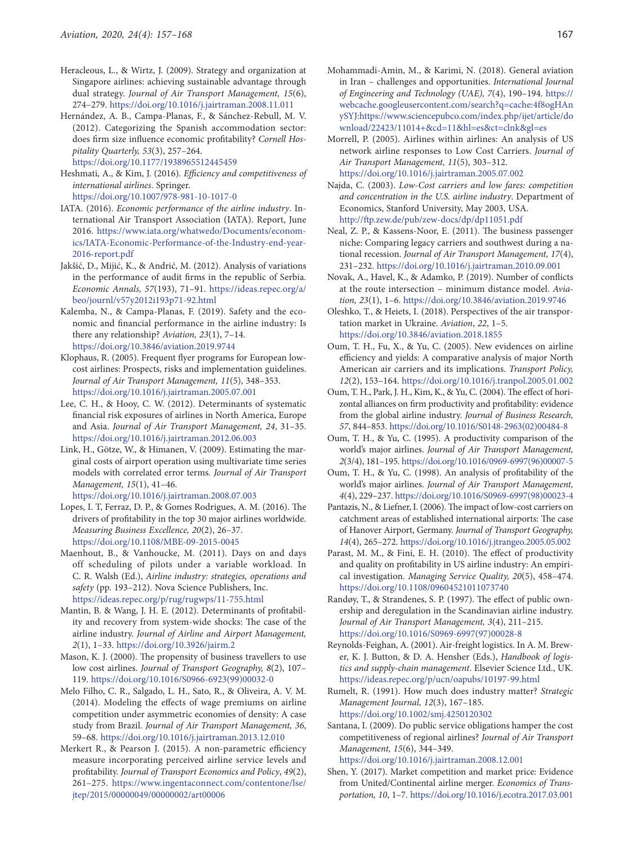- Heracleous, L., & Wirtz, J. (2009). Strategy and organization at Singapore airlines: achieving sustainable advantage through dual strategy. *Journal of Air Transport Management, 15*(6), 274–279. <https://doi.org/10.1016/j.jairtraman.2008.11.011>
- Hernández, A. B., Campa-Planas, F., & Sánchez-Rebull, M. V. (2012). Categorizing the Spanish accommodation sector: does firm size influence economic profitability? *Cornell Hospitality Quarterly, 53*(3), 257–264.

<https://doi.org/10.1177/1938965512445459>

- Heshmati, A., & Kim, J. (2016). *Efficiency and competitiveness of international airlines*. Springer. <https://doi.org/10.1007/978-981-10-1017-0>
- IATA. (2016). *Economic performance of the airline industry*. International Air Transport Association (IATA). Report, June 2016. [https://www.iata.org/whatwedo/Documents/econom](https://www.iata.org/whatwedo/Documents/economics/IATA-Economic-Performance-of-the-Industry-end-year-2016-report.pdf)[ics/IATA-Economic-Performance-of-the-Industry-end-year-](https://www.iata.org/whatwedo/Documents/economics/IATA-Economic-Performance-of-the-Industry-end-year-2016-report.pdf)[2016-report.pdf](https://www.iata.org/whatwedo/Documents/economics/IATA-Economic-Performance-of-the-Industry-end-year-2016-report.pdf)
- Jakšić, D., Mijić, K., & Andrić, M. (2012). Analysis of variations in the performance of audit firms in the republic of Serbia. *Economic Annals, 57*(193), 71–91. [https://ideas.repec.org/a/](https://ideas.repec.org/a/beo/journl/v57y2012i193p71-92.html) [beo/journl/v57y2012i193p71-92.html](https://ideas.repec.org/a/beo/journl/v57y2012i193p71-92.html)
- Kalemba, N., & Campa-Planas, F. (2019). Safety and the economic and financial performance in the airline industry: Is there any relationship? *Aviation, 23*(1), 7–14. <https://doi.org/10.3846/aviation.2019.9744>
- Klophaus, R. (2005). Frequent flyer programs for European lowcost airlines: Prospects, risks and implementation guidelines. *Journal of Air Transport Management, 11*(5), 348–353. <https://doi.org/10.1016/j.jairtraman.2005.07.001>
- Lee, C. H., & Hooy, C. W. (2012). Determinants of systematic financial risk exposures of airlines in North America, Europe and Asia. *Journal of Air Transport Management, 24*, 31–35. <https://doi.org/10.1016/j.jairtraman.2012.06.003>
- Link, H., Götze, W., & Himanen, V. (2009). Estimating the marginal costs of airport operation using multivariate time series models with correlated error terms*. Journal of Air Transport Management, 15*(1), 41–46. <https://doi.org/10.1016/j.jairtraman.2008.07.003>
- Lopes, I. T, Ferraz, D. P., & Gomes Rodrigues, A. M. (2016). The drivers of profitability in the top 30 major airlines worldwide. *Measuring Business Excellence, 20*(2), 26–37. <https://doi.org/10.1108/MBE-09-2015-0045>
- Maenhout, B., & Vanhoucke, M. (2011). Days on and days off scheduling of pilots under a variable workload. In C. R. Walsh (Ed.), *Airline industry: strategies, operations and safety* (pp. 193–212). Nova Science Publishers, Inc. <https://ideas.repec.org/p/rug/rugwps/11-755.html>
- Mantin, B. & Wang, J. H. E. (2012). Determinants of profitability and recovery from system-wide shocks: The case of the airline industry. *Journal of Airline and Airport Management, 2*(1), 1–33. <https://doi.org/10.3926/jairm.2>
- Mason, K. J. (2000). The propensity of business travellers to use low cost airlines. *Journal of Transport Geography, 8*(2), 107– 119. [https://doi.org/10.1016/S0966-6923\(99\)00032-0](https://doi.org/10.1016/S0966-6923(99)00032-0)
- Melo Filho, C. R., Salgado, L. H., Sato, R., & Oliveira, A. V. M. (2014). Modeling the effects of wage premiums on airline competition under asymmetric economies of density: A case study from Brazil. *Journal of Air Transport Management, 36*, 59–68.<https://doi.org/10.1016/j.jairtraman.2013.12.010>
- Merkert R., & Pearson J. (2015). A non-parametric efficiency measure incorporating perceived airline service levels and profitability. *Journal of Transport Economics and Policy*, *49*(2), 261–275. [https://www.ingentaconnect.com/contentone/lse/](https://www.ingentaconnect.com/contentone/lse/jtep/2015/00000049/00000002/art00006%20) [jtep/2015/00000049/00000002/art00006](https://www.ingentaconnect.com/contentone/lse/jtep/2015/00000049/00000002/art00006%20)
- Mohammadi-Amin, M., & Karimi, N. (2018). General aviation in Iran – challenges and opportunities. *International Journal of Engineering and Technology (UAE), 7*(4), 190–194. [https://](https://webcache.googleusercontent.com/search?q=cache:4f8ogHAnySYJ:https://www.sciencepubco.com/index.php/ijet/article/download/22423/11014+&cd=11&hl=es&ct=clnk&gl=es) [webcache.googleusercontent.com/search?q=cache:4f8ogHAn](https://webcache.googleusercontent.com/search?q=cache:4f8ogHAnySYJ:https://www.sciencepubco.com/index.php/ijet/article/download/22423/11014+&cd=11&hl=es&ct=clnk&gl=es) [ySYJ:https://www.sciencepubco.com/index.php/ijet/article/do](https://webcache.googleusercontent.com/search?q=cache:4f8ogHAnySYJ:https://www.sciencepubco.com/index.php/ijet/article/download/22423/11014+&cd=11&hl=es&ct=clnk&gl=es) [wnload/22423/11014+&cd=11&hl=es&ct=clnk&gl=es](https://webcache.googleusercontent.com/search?q=cache:4f8ogHAnySYJ:https://www.sciencepubco.com/index.php/ijet/article/download/22423/11014+&cd=11&hl=es&ct=clnk&gl=es)
- Morrell, P. (2005). Airlines within airlines: An analysis of US network airline responses to Low Cost Carriers. *Journal of Air Transport Management, 11*(5), 303–312. <https://doi.org/10.1016/j.jairtraman.2005.07.002>
- Najda, C. (2003). *Low-Cost carriers and low fares: competition and concentration in the U.S. airline industry*. Department of Economics, Stanford University, May 2003, USA. <http://ftp.zew.de/pub/zew-docs/dp/dp11051.pdf>
- Neal, Z. P., & Kassens-Noor, E. (2011). The business passenger niche: Comparing legacy carriers and southwest during a national recession. *Journal of Air Transport Management, 17*(4), 231–232. <https://doi.org/10.1016/j.jairtraman.2010.09.001>
- Novak, A., Havel, K., & Adamko, P. (2019). Number of conflicts at the route intersection – minimum distance model. *Aviation, 23*(1), 1–6. <https://doi.org/10.3846/aviation.2019.9746>
- Oleshko, T., & Heiets, I. (2018). Perspectives of the air transportation market in Ukraine. *Aviation*, *22*, 1–5. <https://doi.org/10.3846/aviation.2018.1855>
- Oum, T. H., Fu, X., & Yu, C. (2005). New evidences on airline efficiency and yields: A comparative analysis of major North American air carriers and its implications. *Transport Policy, 12*(2), 153–164.<https://doi.org/10.1016/j.tranpol.2005.01.002>
- Oum, T. H., Park, J. H., Kim, K., & Yu, C. (2004). The effect of horizontal alliances on firm productivity and profitability: evidence from the global airline industry. *Journal of Business Research, 57*, 844–853. [https://doi.org/10.1016/S0148-2963\(02\)00484-8](https://doi.org/10.1016/S0148-2963(02)00484-8)
- Oum, T. H., & Yu, C. (1995). A productivity comparison of the world's major airlines. *Journal of Air Transport Management, 2*(3/4), 181–195. [https://doi.org/10.1016/0969-6997\(96\)00007-5](https://doi.org/10.1016/0969-6997(96)00007-5)
- Oum, T. H., & Yu, C. (1998). An analysis of profitability of the world's major airlines. *Journal of Air Transport Management, 4*(4), 229–237. [https://doi.org/10.1016/S0969-6997\(98\)00023-4](https://doi.org/10.1016/S0969-6997(98)00023-4)
- Pantazis, N., & Liefner, I. (2006). The impact of low-cost carriers on catchment areas of established international airports: The case of Hanover Airport, Germany. *Journal of Transport Geography, 14*(4), 265–272. <https://doi.org/10.1016/j.jtrangeo.2005.05.002>
- Parast, M. M., & Fini, E. H. (2010). The effect of productivity and quality on profitability in US airline industry: An empirical investigation. *Managing Service Quality, 20*(5), 458–474. <https://doi.org/10.1108/09604521011073740>
- Randøy, T., & Strandenes, S. P. (1997). The effect of public ownership and deregulation in the Scandinavian airline industry. *Journal of Air Transport Management, 3*(4), 211–215. [https://doi.org/10.1016/S0969-6997\(97\)00028-8](https://doi.org/10.1016/S0969-6997(97)00028-8)
- Reynolds-Feighan, A. (2001). Air-freight logistics. In A. M. Brewer, K. J. Button, & D. A. Hensher (Eds.), *Handbook of logistics and supply-chain management*. Elsevier Science Ltd., UK. <https://ideas.repec.org/p/ucn/oapubs/10197-99.html>
- Rumelt, R. (1991). How much does industry matter? *Strategic Management Journal, 12*(3), 167–185. <https://doi.org/10.1002/smj.4250120302>
- Santana, I. (2009). Do public service obligations hamper the cost competitiveness of regional airlines? *Journal of Air Transport Management, 15*(6), 344–349.

<https://doi.org/10.1016/j.jairtraman.2008.12.001>

Shen, Y. (2017). Market competition and market price: Evidence from United/Continental airline merger. *Economics of Transportation, 10*, 1–7.<https://doi.org/10.1016/j.ecotra.2017.03.001>